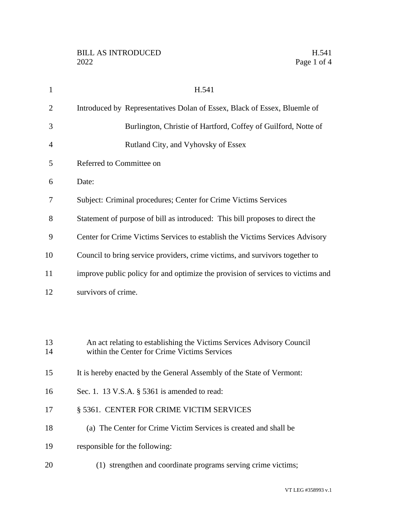| $\mathbf{1}$   | H.541                                                                                                                 |
|----------------|-----------------------------------------------------------------------------------------------------------------------|
| $\overline{2}$ | Introduced by Representatives Dolan of Essex, Black of Essex, Bluemle of                                              |
| 3              | Burlington, Christie of Hartford, Coffey of Guilford, Notte of                                                        |
| $\overline{4}$ | Rutland City, and Vyhovsky of Essex                                                                                   |
| 5              | Referred to Committee on                                                                                              |
| 6              | Date:                                                                                                                 |
| 7              | Subject: Criminal procedures; Center for Crime Victims Services                                                       |
| 8              | Statement of purpose of bill as introduced: This bill proposes to direct the                                          |
| 9              | Center for Crime Victims Services to establish the Victims Services Advisory                                          |
| 10             | Council to bring service providers, crime victims, and survivors together to                                          |
| 11             | improve public policy for and optimize the provision of services to victims and                                       |
| 12             | survivors of crime.                                                                                                   |
|                |                                                                                                                       |
|                |                                                                                                                       |
| 13<br>14       | An act relating to establishing the Victims Services Advisory Council<br>within the Center for Crime Victims Services |
| 15             |                                                                                                                       |
|                | It is hereby enacted by the General Assembly of the State of Vermont:                                                 |
| 16             | Sec. 1. 13 V.S.A. § 5361 is amended to read:                                                                          |
| 17             | § 5361. CENTER FOR CRIME VICTIM SERVICES                                                                              |
| 18             | (a) The Center for Crime Victim Services is created and shall be                                                      |
| 19             | responsible for the following:                                                                                        |
| 20             | (1) strengthen and coordinate programs serving crime victims;                                                         |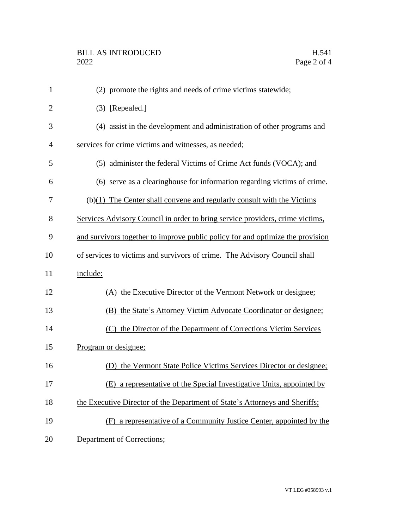| $\mathbf{1}$   | (2) promote the rights and needs of crime victims statewide;                   |
|----------------|--------------------------------------------------------------------------------|
| $\overline{2}$ | (3) [Repealed.]                                                                |
| 3              | (4) assist in the development and administration of other programs and         |
| $\overline{4}$ | services for crime victims and witnesses, as needed;                           |
| 5              | (5) administer the federal Victims of Crime Act funds (VOCA); and              |
| 6              | (6) serve as a clearinghouse for information regarding victims of crime.       |
| 7              | $(b)(1)$ The Center shall convene and regularly consult with the Victims       |
| 8              | Services Advisory Council in order to bring service providers, crime victims,  |
| 9              | and survivors together to improve public policy for and optimize the provision |
| 10             | of services to victims and survivors of crime. The Advisory Council shall      |
| 11             | include:                                                                       |
| 12             | (A) the Executive Director of the Vermont Network or designee;                 |
| 13             | (B) the State's Attorney Victim Advocate Coordinator or designee;              |
| 14             | (C) the Director of the Department of Corrections Victim Services              |
| 15             | Program or designee;                                                           |
| 16             | (D) the Vermont State Police Victims Services Director or designee;            |
| 17             | (E) a representative of the Special Investigative Units, appointed by          |
| 18             | the Executive Director of the Department of State's Attorneys and Sheriffs;    |
| 19             | (F) a representative of a Community Justice Center, appointed by the           |
| 20             | <b>Department of Corrections;</b>                                              |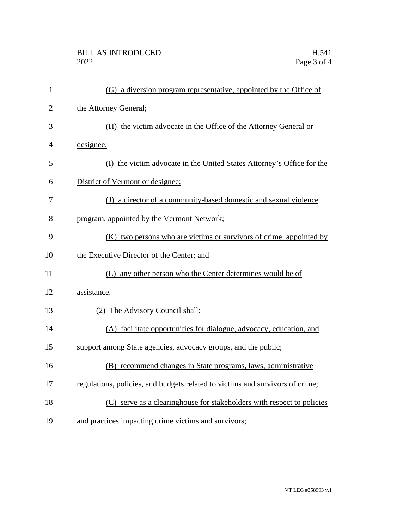## BILL AS INTRODUCED H.541<br>2022 Page 3 of 4

| $\mathbf{1}$   | (G) a diversion program representative, appointed by the Office of            |
|----------------|-------------------------------------------------------------------------------|
| $\overline{2}$ | the Attorney General;                                                         |
| 3              | (H) the victim advocate in the Office of the Attorney General or              |
| 4              | designee;                                                                     |
| 5              | (I) the victim advocate in the United States Attorney's Office for the        |
| 6              | District of Vermont or designee;                                              |
| 7              | (J) a director of a community-based domestic and sexual violence              |
| 8              | program, appointed by the Vermont Network;                                    |
| 9              | (K) two persons who are victims or survivors of crime, appointed by           |
| 10             | the Executive Director of the Center; and                                     |
| 11             | (L) any other person who the Center determines would be of                    |
| 12             | assistance.                                                                   |
| 13             | (2) The Advisory Council shall:                                               |
| 14             | (A) facilitate opportunities for dialogue, advocacy, education, and           |
| 15             | support among State agencies, advocacy groups, and the public;                |
| 16             | (B) recommend changes in State programs, laws, administrative                 |
| 17             | regulations, policies, and budgets related to victims and survivors of crime; |
| 18             | (C) serve as a clearinghouse for stakeholders with respect to policies        |
| 19             | and practices impacting crime victims and survivors;                          |